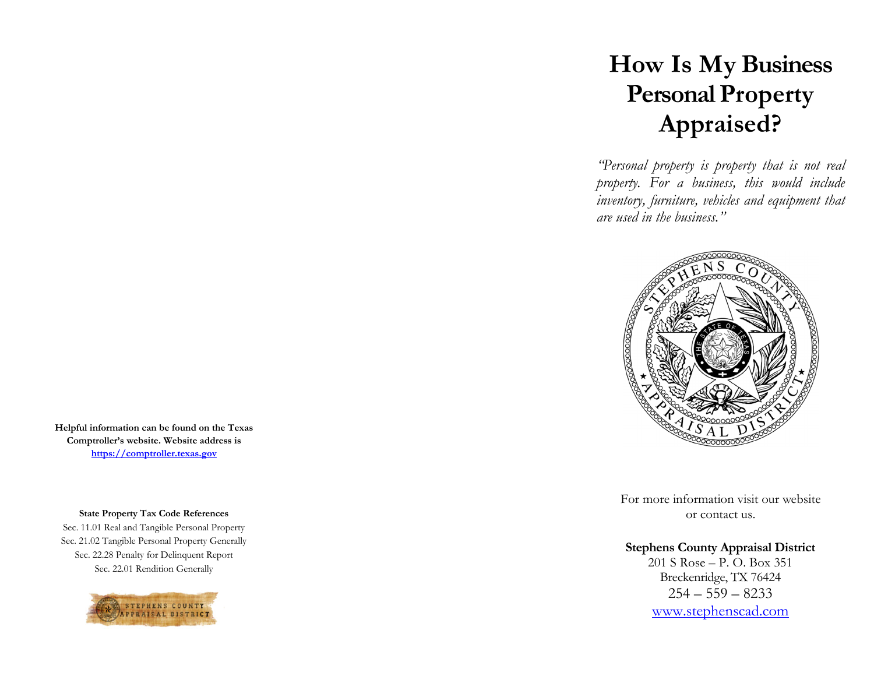# **How Is My Business Personal Property Appraised?**

*"Personal property is property that is not real property. For a business, this would include inventory, furniture, vehicles and equipment that are used in the business."* 



For more information visit our website or contact us.

## **Stephens County Appraisal District**

201 S Rose – P. O. Box 351 Breckenridge, TX 76424  $254 - 559 - 8233$ www.stephenscad.com

**Helpful information can be found on the Texas Comptroller's website. Website address is https://comptroller.texas.gov**

**State Property Tax Code References** 

Sec. 11.01 Real and Tangible Personal Property Sec. 21.02 Tangible Personal Property Generally Sec. 22.28 Penalty for Delinquent Report Sec. 22.01 Rendition Generally